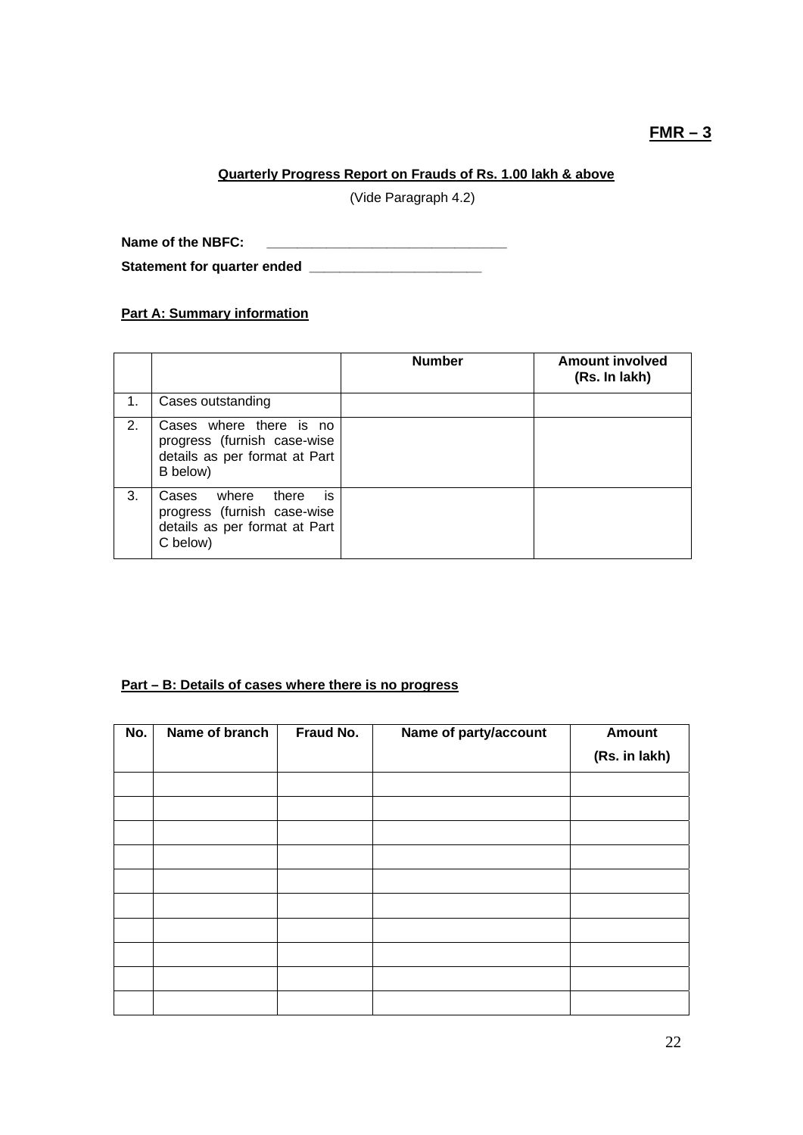# **FMR – 3**

## **Quarterly Progress Report on Frauds of Rs. 1.00 lakh & above**

(Vide Paragraph 4.2)

**Name of the NBFC: \_\_\_\_\_\_\_\_\_\_\_\_\_\_\_\_\_\_\_\_\_\_\_\_\_\_\_\_\_\_\_\_** 

**Statement for quarter ended \_\_\_\_\_\_\_\_\_\_\_\_\_\_\_\_\_\_\_\_\_\_\_** 

# **Part A: Summary information**

|    |                                                                                                           | <b>Number</b> | <b>Amount involved</b><br>(Rs. In lakh) |
|----|-----------------------------------------------------------------------------------------------------------|---------------|-----------------------------------------|
| 1. | Cases outstanding                                                                                         |               |                                         |
| 2. | Cases where there is no<br>progress (furnish case-wise<br>details as per format at Part<br>B below)       |               |                                         |
| 3. | is<br>where<br>there<br>Cases<br>progress (furnish case-wise<br>details as per format at Part<br>C below) |               |                                         |

#### **Part – B: Details of cases where there is no progress**

| No. | Name of branch | Fraud No. | Name of party/account | <b>Amount</b> |
|-----|----------------|-----------|-----------------------|---------------|
|     |                |           |                       | (Rs. in lakh) |
|     |                |           |                       |               |
|     |                |           |                       |               |
|     |                |           |                       |               |
|     |                |           |                       |               |
|     |                |           |                       |               |
|     |                |           |                       |               |
|     |                |           |                       |               |
|     |                |           |                       |               |
|     |                |           |                       |               |
|     |                |           |                       |               |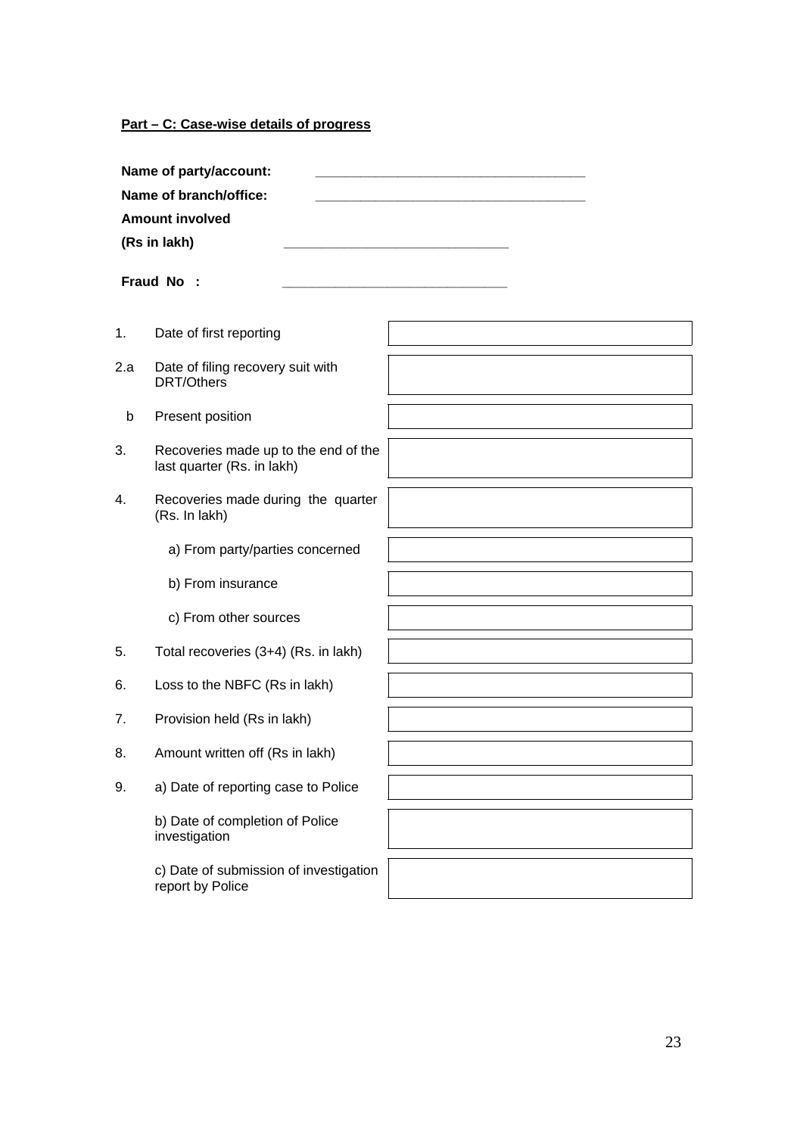**Part – C: Case-wise details of progress**

|     | Name of party/account:<br>Name of branch/office:<br><b>Amount involved</b><br>(Rs in lakh)<br>Fraud No: |  |
|-----|---------------------------------------------------------------------------------------------------------|--|
| 1.  | Date of first reporting                                                                                 |  |
| 2.а | Date of filing recovery suit with<br>DRT/Others                                                         |  |
| b   | Present position                                                                                        |  |
| 3.  | Recoveries made up to the end of the<br>last quarter (Rs. in lakh)                                      |  |
| 4.  | Recoveries made during the quarter<br>(Rs. In lakh)                                                     |  |
|     | a) From party/parties concerned                                                                         |  |
|     | b) From insurance                                                                                       |  |
|     | c) From other sources                                                                                   |  |
| 5.  | Total recoveries (3+4) (Rs. in lakh)                                                                    |  |
| 6.  | Loss to the NBFC (Rs in lakh)                                                                           |  |
| 7.  | Provision held (Rs in lakh)                                                                             |  |
| 8.  | Amount written off (Rs in lakh)                                                                         |  |
| 9.  | a) Date of reporting case to Police                                                                     |  |

investigation c) Date of submission of investigation

report by Police

b) Date of completion of Police